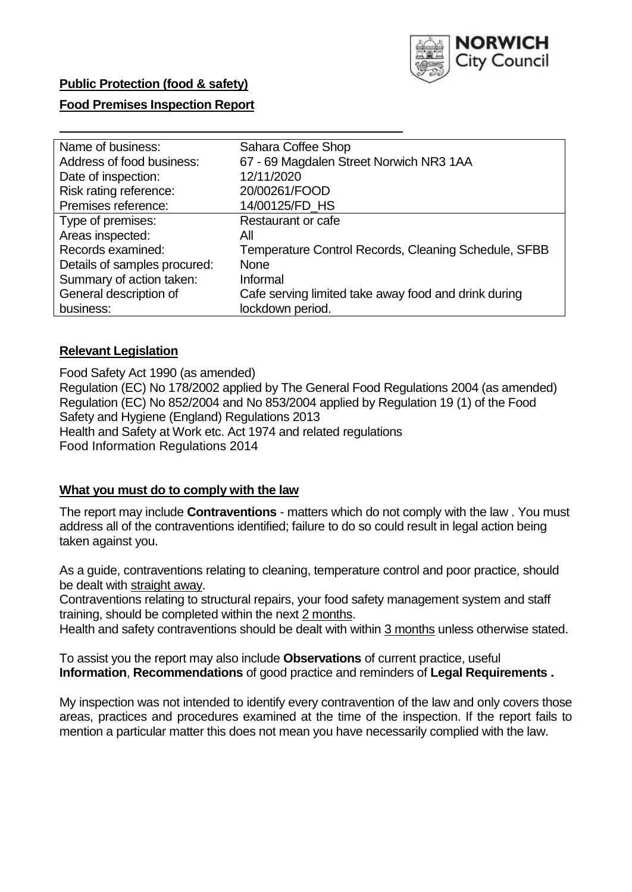

# **Public Protection (food & safety)**

## **Food Premises Inspection Report**

| Name of business:            | Sahara Coffee Shop                                   |  |  |  |  |
|------------------------------|------------------------------------------------------|--|--|--|--|
| Address of food business:    | 67 - 69 Magdalen Street Norwich NR3 1AA              |  |  |  |  |
| Date of inspection:          | 12/11/2020                                           |  |  |  |  |
| Risk rating reference:       | 20/00261/FOOD                                        |  |  |  |  |
| Premises reference:          | 14/00125/FD HS                                       |  |  |  |  |
| Type of premises:            | Restaurant or cafe                                   |  |  |  |  |
| Areas inspected:             | Αll                                                  |  |  |  |  |
| Records examined:            | Temperature Control Records, Cleaning Schedule, SFBB |  |  |  |  |
| Details of samples procured: | <b>None</b>                                          |  |  |  |  |
| Summary of action taken:     | Informal                                             |  |  |  |  |
| General description of       | Cafe serving limited take away food and drink during |  |  |  |  |
| business:                    | lockdown period.                                     |  |  |  |  |

## **Relevant Legislation**

 Food Safety Act 1990 (as amended) Regulation (EC) No 178/2002 applied by The General Food Regulations 2004 (as amended) Regulation (EC) No 852/2004 and No 853/2004 applied by Regulation 19 (1) of the Food Safety and Hygiene (England) Regulations 2013 Health and Safety at Work etc. Act 1974 and related regulations Food Information Regulations 2014

#### **What you must do to comply with the law**

 The report may include **Contraventions** - matters which do not comply with the law . You must address all of the contraventions identified; failure to do so could result in legal action being taken against you.

 As a guide, contraventions relating to cleaning, temperature control and poor practice, should be dealt with straight away.

 Contraventions relating to structural repairs, your food safety management system and staff training, should be completed within the next 2 months.

Health and safety contraventions should be dealt with within 3 months unless otherwise stated.

 To assist you the report may also include **Observations** of current practice, useful **Information**, **Recommendations** of good practice and reminders of **Legal Requirements .** 

 My inspection was not intended to identify every contravention of the law and only covers those areas, practices and procedures examined at the time of the inspection. If the report fails to mention a particular matter this does not mean you have necessarily complied with the law.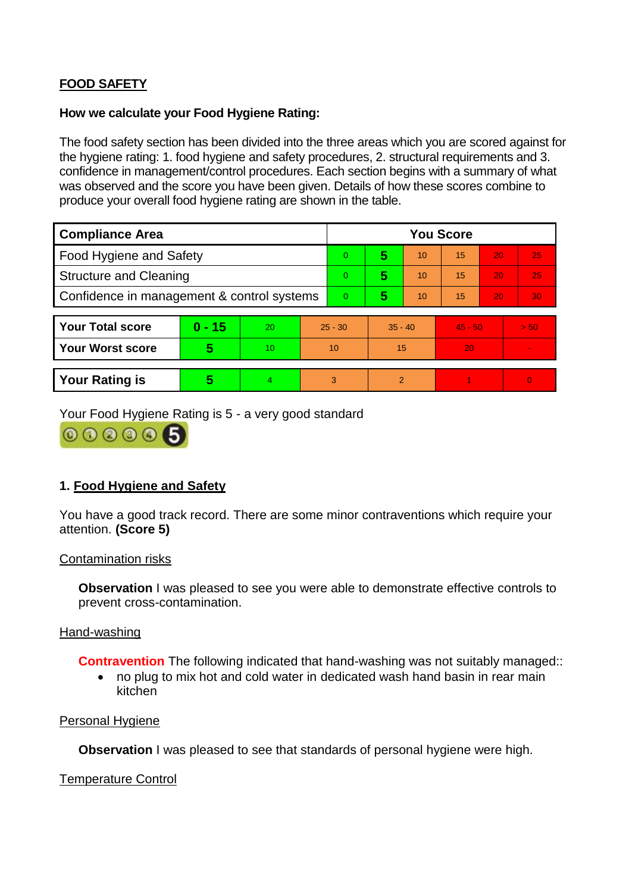# **FOOD SAFETY**

### **How we calculate your Food Hygiene Rating:**

 The food safety section has been divided into the three areas which you are scored against for the hygiene rating: 1. food hygiene and safety procedures, 2. structural requirements and 3. confidence in management/control procedures. Each section begins with a summary of what was observed and the score you have been given. Details of how these scores combine to produce your overall food hygiene rating are shown in the table.

| <b>Compliance Area</b>                     |          |    |                | <b>You Score</b> |               |           |    |           |                |  |  |
|--------------------------------------------|----------|----|----------------|------------------|---------------|-----------|----|-----------|----------------|--|--|
| Food Hygiene and Safety                    |          |    | $\Omega$       | 5                | 10            | 15        | 20 | 25        |                |  |  |
| <b>Structure and Cleaning</b>              |          |    | $\overline{0}$ | 5                | 10            | 15        | 20 | 25        |                |  |  |
| Confidence in management & control systems |          |    | 0              | 5                | 10            | 15        | 20 | 30        |                |  |  |
|                                            |          |    |                |                  |               |           |    |           |                |  |  |
| <b>Your Total score</b>                    | $0 - 15$ | 20 |                | $25 - 30$        |               | $35 - 40$ |    | $45 - 50$ | > 50           |  |  |
| <b>Your Worst score</b>                    | 5        | 10 | 10             |                  | 15            |           | 20 |           | $\blacksquare$ |  |  |
|                                            |          |    |                |                  |               |           |    |           |                |  |  |
| <b>Your Rating is</b>                      | 5        |    | 3              |                  | $\mathcal{P}$ |           |    |           | $\overline{0}$ |  |  |

Your Food Hygiene Rating is 5 - a very good standard

 $000005$ 

# **1. Food Hygiene and Safety**

You have a good track record. There are some minor contraventions which require your attention. **(Score 5)** 

#### Contamination risks

**Observation** I was pleased to see you were able to demonstrate effective controls to prevent cross-contamination.

## Hand-washing

**Contravention** The following indicated that hand-washing was not suitably managed::

• no plug to mix hot and cold water in dedicated wash hand basin in rear main kitchen

#### Personal Hygiene

**Observation** I was pleased to see that standards of personal hygiene were high.

## Temperature Control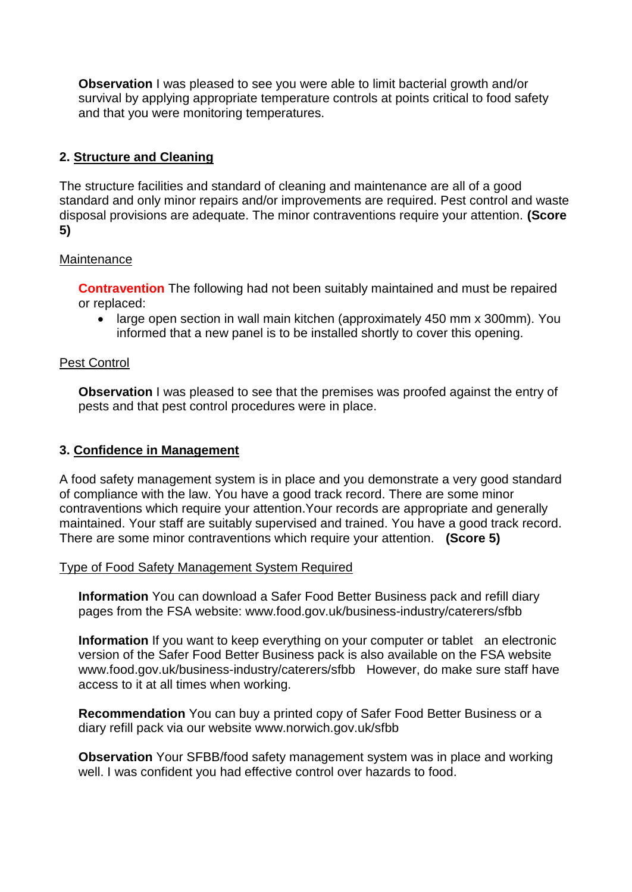survival by applying appropriate temperature controls at points critical to food safety **Observation** I was pleased to see you were able to limit bacterial growth and/or and that you were monitoring temperatures.

# **2. Structure and Cleaning**

The structure facilities and standard of cleaning and maintenance are all of a good standard and only minor repairs and/or improvements are required. Pest control and waste disposal provisions are adequate. The minor contraventions require your attention. **(Score 5)** 

# **Maintenance**

**Contravention** The following had not been suitably maintained and must be repaired or replaced:

• large open section in wall main kitchen (approximately 450 mm x 300mm). You informed that a new panel is to be installed shortly to cover this opening.

# Pest Control

**Observation** I was pleased to see that the premises was proofed against the entry of pests and that pest control procedures were in place.

# **3. Confidence in Management**

A food safety management system is in place and you demonstrate a very good standard of compliance with the law. You have a good track record. There are some minor contraventions which require your attention.Your records are appropriate and generally maintained. Your staff are suitably supervised and trained. You have a good track record. There are some minor contraventions which require your attention. **(Score 5)** 

## Type of Food Safety Management System Required

**Information** You can download a Safer Food Better Business pack and refill diary pages from the FSA website:<www.food.gov.uk/business-industry/caterers/sfbb>

 **Information** If you want to keep everything on your computer or tablet an electronic <www.food.gov.uk/business-industry/caterers/sfbb>However, do make sure staff have version of the Safer Food Better Business pack is also available on the FSA website access to it at all times when working.

**Recommendation** You can buy a printed copy of Safer Food Better Business or a diary refill pack via our website <www.norwich.gov.uk/sfbb>

 well. I was confident you had effective control over hazards to food. **Observation** Your SFBB/food safety management system was in place and working